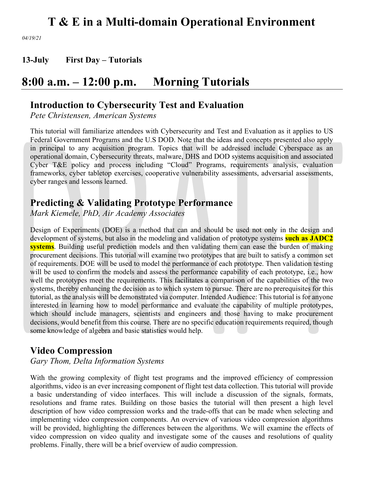*04/19/21* 

**13-July First Day – Tutorials**

# **8:00 a.m. – 12:00 p.m. Morning Tutorials**

### **Introduction to Cybersecurity Test and Evaluation**

*Pete Christensen, American Systems*

This tutorial will familiarize attendees with Cybersecurity and Test and Evaluation as it applies to US Federal Government Programs and the U.S DOD. Note that the ideas and concepts presented also apply in principal to any acquisition program. Topics that will be addressed include Cyberspace as an operational domain, Cybersecurity threats, malware, DHS and DOD systems acquisition and associated Cyber T&E policy and process including "Cloud" Programs, requirements analysis, evaluation frameworks, cyber tabletop exercises, cooperative vulnerability assessments, adversarial assessments, cyber ranges and lessons learned.

### **Predicting & Validating Prototype Performance**

*Mark Kiemele, PhD, Air Academy Associates*

Design of Experiments (DOE) is a method that can and should be used not only in the design and development of systems, but also in the modeling and validation of prototype systems **such as JADC2 systems**. Building useful prediction models and then validating them can ease the burden of making procurement decisions. This tutorial will examine two prototypes that are built to satisfy a common set of requirements. DOE will be used to model the performance of each prototype. Then validation testing will be used to confirm the models and assess the performance capability of each prototype, i.e., how well the prototypes meet the requirements. This facilitates a comparison of the capabilities of the two systems, thereby enhancing the decision as to which system to pursue. There are no prerequisites for this tutorial, as the analysis will be demonstrated via computer. Intended Audience: This tutorial is for anyone interested in learning how to model performance and evaluate the capability of multiple prototypes, which should include managers, scientists and engineers and those having to make procurement decisions, would benefit from this course. There are no specific education requirements required, though some knowledge of algebra and basic statistics would help.

### **Video Compression**

*Gary Thom, Delta Information Systems*

With the growing complexity of flight test programs and the improved efficiency of compression algorithms, video is an ever increasing component of flight test data collection. This tutorial will provide a basic understanding of video interfaces. This will include a discussion of the signals, formats, resolutions and frame rates. Building on those basics the tutorial will then present a high level description of how video compression works and the trade-offs that can be made when selecting and implementing video compression components. An overview of various video compression algorithms will be provided, highlighting the differences between the algorithms. We will examine the effects of video compression on video quality and investigate some of the causes and resolutions of quality problems. Finally, there will be a brief overview of audio compression.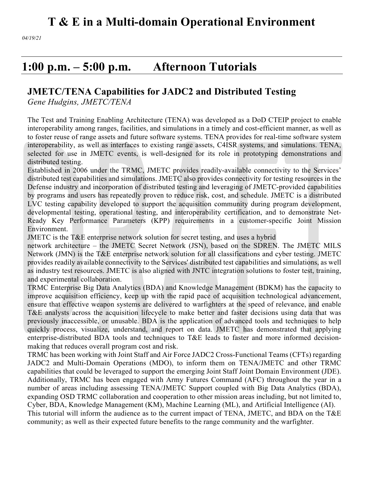*04/19/21* 

# **1:00 p.m. – 5:00 p.m. Afternoon Tutorials**

### **JMETC/TENA Capabilities for JADC2 and Distributed Testing**

*Gene Hudgins, JMETC/TENA*

The Test and Training Enabling Architecture (TENA) was developed as a DoD CTEIP project to enable interoperability among ranges, facilities, and simulations in a timely and cost-efficient manner, as well as to foster reuse of range assets and future software systems. TENA provides for real-time software system interoperability, as well as interfaces to existing range assets, C4ISR systems, and simulations. TENA, selected for use in JMETC events, is well-designed for its role in prototyping demonstrations and distributed testing.

Established in 2006 under the TRMC, JMETC provides readily-available connectivity to the Services' distributed test capabilities and simulations. JMETC also provides connectivity for testing resources in the Defense industry and incorporation of distributed testing and leveraging of JMETC-provided capabilities by programs and users has repeatedly proven to reduce risk, cost, and schedule. JMETC is a distributed LVC testing capability developed to support the acquisition community during program development, developmental testing, operational testing, and interoperability certification, and to demonstrate Net-Ready Key Performance Parameters (KPP) requirements in a customer-specific Joint Mission Environment.

JMETC is the T&E enterprise network solution for secret testing, and uses a hybrid

network architecture – the JMETC Secret Network (JSN), based on the SDREN. The JMETC MILS Network (JMN) is the T&E enterprise network solution for all classifications and cyber testing. JMETC provides readily available connectivity to the Services' distributed test capabilities and simulations, as well as industry test resources. JMETC is also aligned with JNTC integration solutions to foster test, training, and experimental collaboration.

TRMC Enterprise Big Data Analytics (BDA) and Knowledge Management (BDKM) has the capacity to improve acquisition efficiency, keep up with the rapid pace of acquisition technological advancement, ensure that effective weapon systems are delivered to warfighters at the speed of relevance, and enable T&E analysts across the acquisition lifecycle to make better and faster decisions using data that was previously inaccessible, or unusable. BDA is the application of advanced tools and techniques to help quickly process, visualize, understand, and report on data. JMETC has demonstrated that applying enterprise-distributed BDA tools and techniques to T&E leads to faster and more informed decisionmaking that reduces overall program cost and risk.

TRMC has been working with Joint Staff and Air Force JADC2 Cross-Functional Teams (CFTs) regarding JADC2 and Multi-Domain Operations (MDO), to inform them on TENA/JMETC and other TRMC capabilities that could be leveraged to support the emerging Joint Staff Joint Domain Environment (JDE). Additionally, TRMC has been engaged with Army Futures Command (AFC) throughout the year in a number of areas including assessing TENA/JMETC Support coupled with Big Data Analytics (BDA), expanding OSD TRMC collaboration and cooperation to other mission areas including, but not limited to, Cyber, BDA, Knowledge Management (KM), Machine Learning (ML), and Artificial Intelligence (AI). This tutorial will inform the audience as to the current impact of TENA, JMETC, and BDA on the T&E community; as well as their expected future benefits to the range community and the warfighter.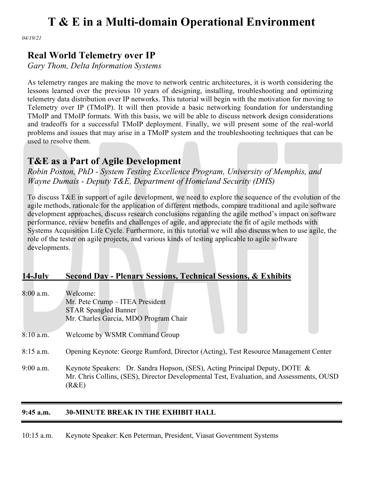*04/19/21* 

### **Real World Telemetry over IP**

*Gary Thom, Delta Information Systems*

As telemetry ranges are making the move to network centric architectures, it is worth considering the lessons learned over the previous 10 years of designing, installing, troubleshooting and optimizing telemetry data distribution over IP networks. This tutorial will begin with the motivation for moving to Telemetry over IP (TMoIP). It will then provide a basic networking foundation for understanding TMoIP and TMoIP formats. With this basis, we will be able to discuss network design considerations and tradeoffs for a successful TMoIP deployment. Finally, we will present some of the real-world problems and issues that may arise in a TMoIP system and the troubleshooting techniques that can be used to resolve them.

### **T&E as a Part of Agile Development**

*Robin Poston, PhD - System Testing Excellence Program, University of Memphis, and Wayne Dumais - Deputy T&E, Department of Homeland Security (DHS)*

To discuss T&E in support of agile development, we need to explore the sequence of the evolution of the agile methods, rationale for the application of different methods, compare traditional and agile software development approaches, discuss research conclusions regarding the agile method's impact on software performance, review benefits and challenges of agile, and appreciate the fit of agile methods with Systems Acquisition Life Cycle. Furthermore, in this tutorial we will also discuss when to use agile, the role of the tester on agile projects, and various kinds of testing applicable to agile software developments.

#### **14-July Second Day - Plenary Sessions, Technical Sessions, & Exhibits**

| $8:00$ a.m. | Welcome:                                                                                 |
|-------------|------------------------------------------------------------------------------------------|
|             | Mr. Pete Crump – ITEA President                                                          |
|             | <b>STAR Spangled Banner</b>                                                              |
|             | Mr. Charles Garcia, MDO Program Chair                                                    |
|             |                                                                                          |
| $8:10$ a.m. | Welcome by WSMR Command Group                                                            |
|             |                                                                                          |
| $8:15$ a.m. | Opening Keynote: George Rumford, Director (Acting), Test Resource Management Center      |
|             |                                                                                          |
| $9:00$ a.m. | Keynote Speakers: Dr. Sandra Hopson, (SES), Acting Principal Deputy, DOTE &              |
|             | Mr. Chris Collins, (SES), Director Developmental Test, Evaluation, and Assessments, OUSD |
|             | (R&E)                                                                                    |
|             |                                                                                          |

#### **9:45 a.m. 30-MINUTE BREAK IN THE EXHIBIT HALL**

10:15 a.m. Keynote Speaker: Ken Peterman, President, Viasat Government Systems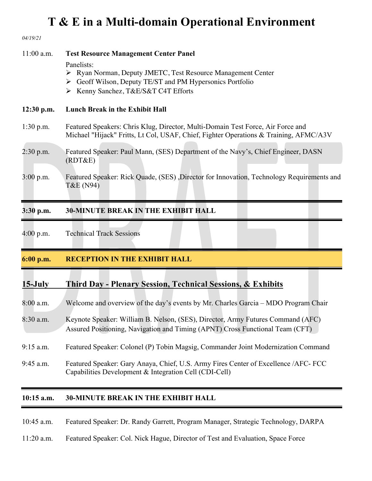| 04/19/21                  |                                                                                                                                                                                                                                |
|---------------------------|--------------------------------------------------------------------------------------------------------------------------------------------------------------------------------------------------------------------------------|
| $11:00$ a.m.              | <b>Test Resource Management Center Panel</b><br>Panelists:<br>> Ryan Norman, Deputy JMETC, Test Resource Management Center<br>Secoff Wilson, Deputy TE/ST and PM Hypersonics Portfolio<br>> Kenny Sanchez, T&E/S&T C4T Efforts |
| $12:30$ p.m.              | <b>Lunch Break in the Exhibit Hall</b>                                                                                                                                                                                         |
| $1:30$ p.m.               | Featured Speakers: Chris Klug, Director, Multi-Domain Test Force, Air Force and<br>Michael "Hijack" Fritts, Lt Col, USAF, Chief, Fighter Operations & Training, AFMC/A3V                                                       |
| $2:30$ p.m.               | Featured Speaker: Paul Mann, (SES) Department of the Navy's, Chief Engineer, DASN<br>(RDT&E)                                                                                                                                   |
| $3:00$ p.m.               | Featured Speaker: Rick Quade, (SES), Director for Innovation, Technology Requirements and<br>T&E (N94)                                                                                                                         |
| $3:30$ p.m.               | <b>30-MINUTE BREAK IN THE EXHIBIT HALL</b>                                                                                                                                                                                     |
| 4:00 p.m.                 | <b>Technical Track Sessions</b>                                                                                                                                                                                                |
| 6:00 p.m.                 | <b>RECEPTION IN THE EXHIBIT HALL</b>                                                                                                                                                                                           |
| $15$ -July<br>$8:00$ a.m. | <b>Third Day - Plenary Session, Technical Sessions, &amp; Exhibits</b><br>Welcome and overview of the day's events by Mr. Charles Garcia - MDO Program Chair                                                                   |
| 8:30 a.m.                 | Keynote Speaker: William B. Nelson, (SES), Director, Army Futures Command (AFC)<br>Assured Positioning, Navigation and Timing (APNT) Cross Functional Team (CFT)                                                               |
| $9:15$ a.m.               | Featured Speaker: Colonel (P) Tobin Magsig, Commander Joint Modernization Command                                                                                                                                              |
| $9:45$ a.m.               | Featured Speaker: Gary Anaya, Chief, U.S. Army Fires Center of Excellence / AFC- FCC<br>Capabilities Development & Integration Cell (CDI-Cell)                                                                                 |
| $10:15$ a.m.              | <b>30-MINUTE BREAK IN THE EXHIBIT HALL</b>                                                                                                                                                                                     |

10:45 a.m. Featured Speaker: Dr. Randy Garrett, Program Manager, Strategic Technology, DARPA

11:20 a.m. Featured Speaker: Col. Nick Hague, Director of Test and Evaluation, Space Force